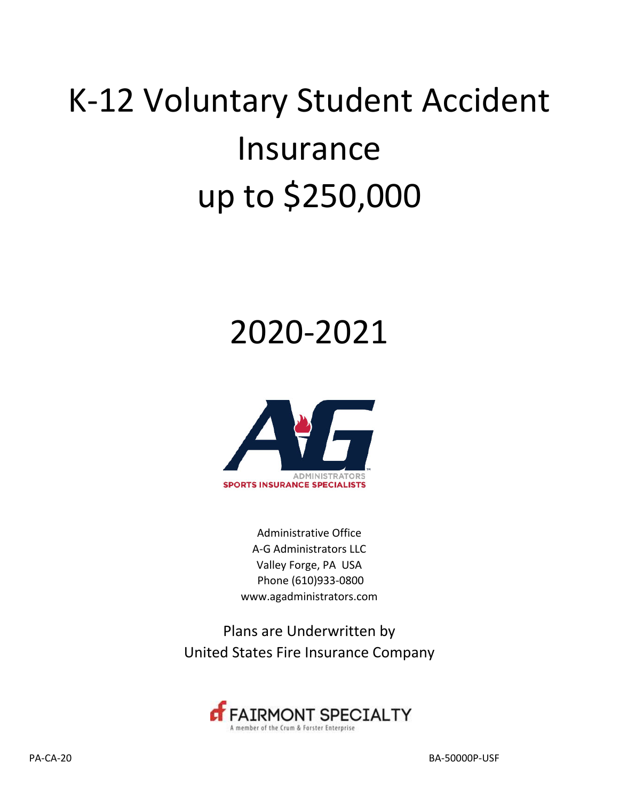# K‐12 Voluntary Student Accident Insurance up to \$250,000

## 2020-2021



Administrative Office A‐G Administrators LLC Valley Forge, PA USA Phone (610)933‐0800 www.agadministrators.com

Plans are Underwritten by United States Fire Insurance Company

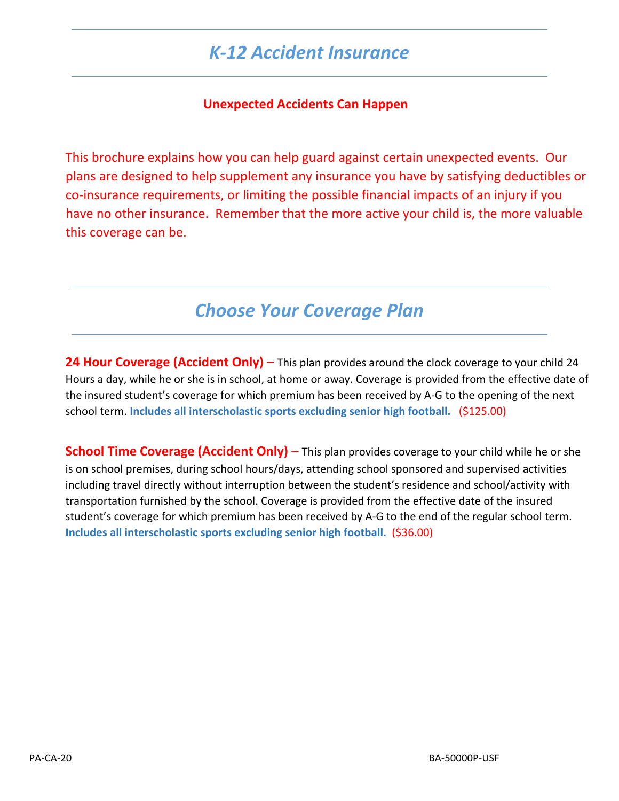## *K‐12 Accident Insurance*

#### **Unexpected Accidents Can Happen**

This brochure explains how you can help guard against certain unexpected events. Our plans are designed to help supplement any insurance you have by satisfying deductibles or co‐insurance requirements, or limiting the possible financial impacts of an injury if you have no other insurance. Remember that the more active your child is, the more valuable this coverage can be.

## *Choose Your Coverage Plan*

**24 Hour Coverage (Accident Only)** – This plan provides around the clock coverage to your child 24 Hours a day, while he or she is in school, at home or away. Coverage is provided from the effective date of the insured student's coverage for which premium has been received by A‐G to the opening of the next school term. **Includes all interscholastic sports excluding senior high football.** (\$125.00)

**School Time Coverage (Accident Only)** – This plan provides coverage to your child while he or she is on school premises, during school hours/days, attending school sponsored and supervised activities including travel directly without interruption between the student's residence and school/activity with transportation furnished by the school. Coverage is provided from the effective date of the insured student's coverage for which premium has been received by A‐G to the end of the regular school term. **Includes all interscholastic sports excluding senior high football.** (\$36.00)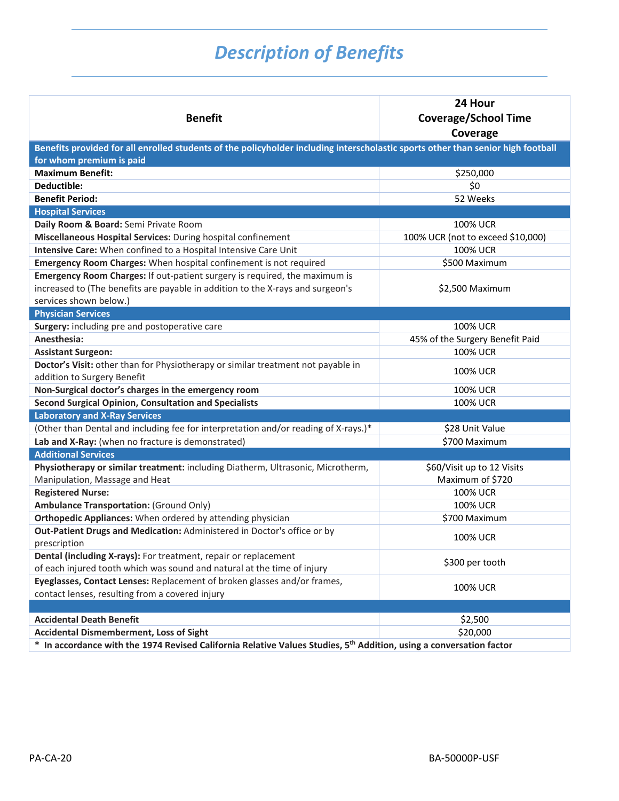## *Description of Benefits*

| <b>Benefit</b>                                                                                                                                               | 24 Hour<br><b>Coverage/School Time</b><br>Coverage |
|--------------------------------------------------------------------------------------------------------------------------------------------------------------|----------------------------------------------------|
| Benefits provided for all enrolled students of the policyholder including interscholastic sports other than senior high football<br>for whom premium is paid |                                                    |
| <b>Maximum Benefit:</b>                                                                                                                                      | \$250,000                                          |
| Deductible:                                                                                                                                                  | \$0                                                |
| <b>Benefit Period:</b>                                                                                                                                       | 52 Weeks                                           |
| <b>Hospital Services</b>                                                                                                                                     |                                                    |
| Daily Room & Board: Semi Private Room                                                                                                                        | <b>100% UCR</b>                                    |
| Miscellaneous Hospital Services: During hospital confinement                                                                                                 | 100% UCR (not to exceed \$10,000)                  |
| Intensive Care: When confined to a Hospital Intensive Care Unit                                                                                              | <b>100% UCR</b>                                    |
| Emergency Room Charges: When hospital confinement is not required                                                                                            | \$500 Maximum                                      |
| Emergency Room Charges: If out-patient surgery is required, the maximum is                                                                                   |                                                    |
| increased to (The benefits are payable in addition to the X-rays and surgeon's                                                                               | \$2,500 Maximum                                    |
| services shown below.)                                                                                                                                       |                                                    |
| <b>Physician Services</b>                                                                                                                                    |                                                    |
| Surgery: including pre and postoperative care                                                                                                                | 100% UCR                                           |
| Anesthesia:                                                                                                                                                  | 45% of the Surgery Benefit Paid                    |
| <b>Assistant Surgeon:</b>                                                                                                                                    | <b>100% UCR</b>                                    |
| Doctor's Visit: other than for Physiotherapy or similar treatment not payable in<br>addition to Surgery Benefit                                              | <b>100% UCR</b>                                    |
| Non-Surgical doctor's charges in the emergency room                                                                                                          | <b>100% UCR</b>                                    |
| <b>Second Surgical Opinion, Consultation and Specialists</b>                                                                                                 | <b>100% UCR</b>                                    |
| <b>Laboratory and X-Ray Services</b>                                                                                                                         |                                                    |
| (Other than Dental and including fee for interpretation and/or reading of X-rays.)*                                                                          | \$28 Unit Value                                    |
| Lab and X-Ray: (when no fracture is demonstrated)                                                                                                            | \$700 Maximum                                      |
| <b>Additional Services</b>                                                                                                                                   |                                                    |
| Physiotherapy or similar treatment: including Diatherm, Ultrasonic, Microtherm,                                                                              | \$60/Visit up to 12 Visits                         |
| Manipulation, Massage and Heat                                                                                                                               | Maximum of \$720                                   |
| <b>Registered Nurse:</b>                                                                                                                                     | <b>100% UCR</b>                                    |
| <b>Ambulance Transportation: (Ground Only)</b>                                                                                                               | <b>100% UCR</b>                                    |
| Orthopedic Appliances: When ordered by attending physician                                                                                                   | \$700 Maximum                                      |
| Out-Patient Drugs and Medication: Administered in Doctor's office or by<br>prescription                                                                      | <b>100% UCR</b>                                    |
| Dental (including X-rays): For treatment, repair or replacement                                                                                              |                                                    |
| of each injured tooth which was sound and natural at the time of injury                                                                                      | \$300 per tooth                                    |
| Eyeglasses, Contact Lenses: Replacement of broken glasses and/or frames,                                                                                     |                                                    |
| contact lenses, resulting from a covered injury                                                                                                              | <b>100% UCR</b>                                    |
|                                                                                                                                                              |                                                    |
| <b>Accidental Death Benefit</b>                                                                                                                              | \$2,500                                            |
| <b>Accidental Dismemberment, Loss of Sight</b>                                                                                                               | \$20,000                                           |
| In accordance with the 1974 Revised California Relative Values Studies, 5 <sup>th</sup> Addition, using a conversation factor<br>$\ast$                      |                                                    |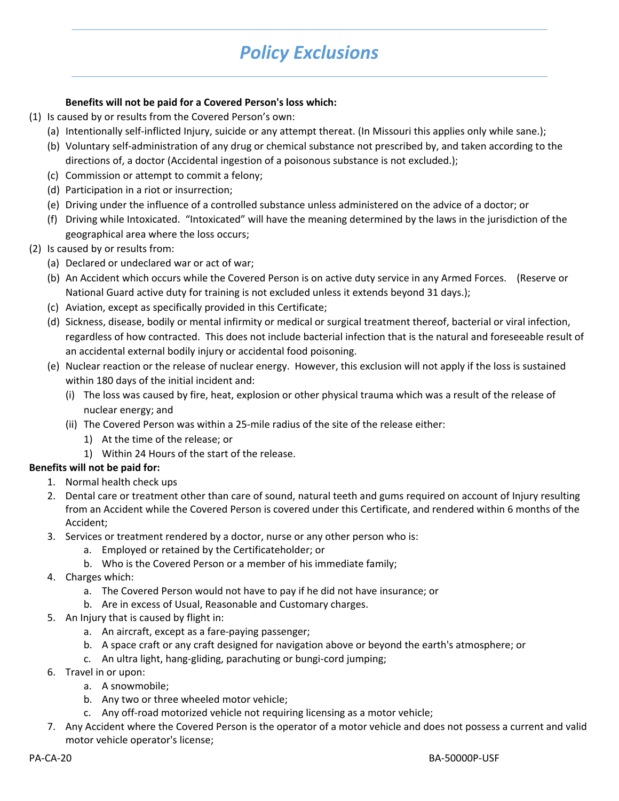## *Policy Exclusions*

#### **Benefits will not be paid for a Covered Person's loss which:**

- (1) Is caused by or results from the Covered Person's own:
	- (a) Intentionally self‐inflicted Injury, suicide or any attempt thereat. (In Missouri this applies only while sane.);
	- (b) Voluntary self‐administration of any drug or chemical substance not prescribed by, and taken according to the directions of, a doctor (Accidental ingestion of a poisonous substance is not excluded.);
	- (c) Commission or attempt to commit a felony;
	- (d) Participation in a riot or insurrection;
	- (e) Driving under the influence of a controlled substance unless administered on the advice of a doctor; or
	- (f) Driving while Intoxicated. "Intoxicated" will have the meaning determined by the laws in the jurisdiction of the geographical area where the loss occurs;
- (2) Is caused by or results from:
	- (a) Declared or undeclared war or act of war;
	- (b) An Accident which occurs while the Covered Person is on active duty service in any Armed Forces. (Reserve or National Guard active duty for training is not excluded unless it extends beyond 31 days.);
	- (c) Aviation, except as specifically provided in this Certificate;
	- (d) Sickness, disease, bodily or mental infirmity or medical or surgical treatment thereof, bacterial or viral infection, regardless of how contracted. This does not include bacterial infection that is the natural and foreseeable result of an accidental external bodily injury or accidental food poisoning.
	- (e) Nuclear reaction or the release of nuclear energy. However, this exclusion will not apply if the loss is sustained within 180 days of the initial incident and:
		- (i) The loss was caused by fire, heat, explosion or other physical trauma which was a result of the release of nuclear energy; and
		- (ii) The Covered Person was within a 25‐mile radius of the site of the release either:
			- 1) At the time of the release; or
			- 1) Within 24 Hours of the start of the release.

#### **Benefits will not be paid for:**

- 1. Normal health check ups
- 2. Dental care or treatment other than care of sound, natural teeth and gums required on account of Injury resulting from an Accident while the Covered Person is covered under this Certificate, and rendered within 6 months of the Accident;
- 3. Services or treatment rendered by a doctor, nurse or any other person who is:
	- a. Employed or retained by the Certificateholder; or
	- b. Who is the Covered Person or a member of his immediate family;
- 4. Charges which:
	- a. The Covered Person would not have to pay if he did not have insurance; or
	- b. Are in excess of Usual, Reasonable and Customary charges.
- 5. An Injury that is caused by flight in:
	- a. An aircraft, except as a fare‐paying passenger;
	- b. A space craft or any craft designed for navigation above or beyond the earth's atmosphere; or
	- c. An ultra light, hang‐gliding, parachuting or bungi‐cord jumping;
- 6. Travel in or upon:
	- a. A snowmobile;
	- b. Any two or three wheeled motor vehicle;
	- c. Any off‐road motorized vehicle not requiring licensing as a motor vehicle;
- 7. Any Accident where the Covered Person is the operator of a motor vehicle and does not possess a current and valid motor vehicle operator's license;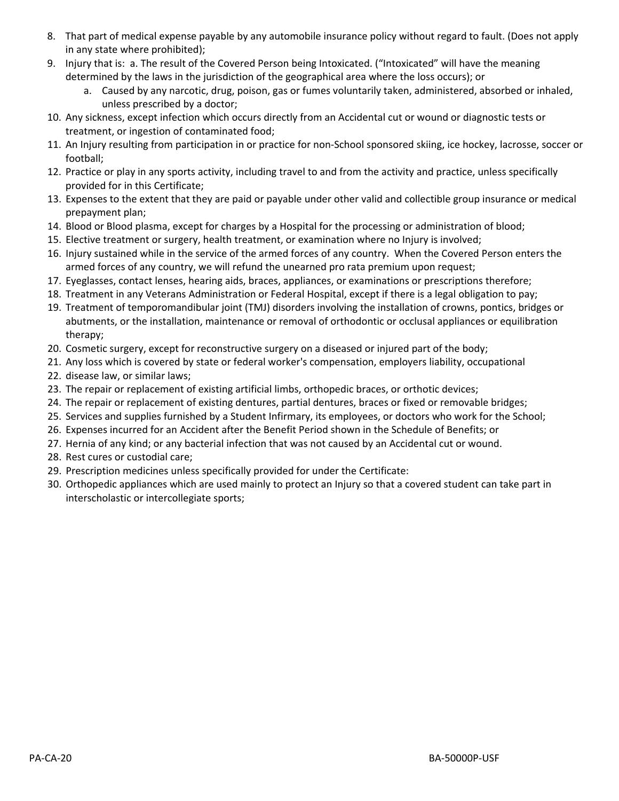- 8. That part of medical expense payable by any automobile insurance policy without regard to fault. (Does not apply in any state where prohibited);
- 9. Injury that is: a. The result of the Covered Person being Intoxicated. ("Intoxicated" will have the meaning determined by the laws in the jurisdiction of the geographical area where the loss occurs); or
	- a. Caused by any narcotic, drug, poison, gas or fumes voluntarily taken, administered, absorbed or inhaled, unless prescribed by a doctor;
- 10. Any sickness, except infection which occurs directly from an Accidental cut or wound or diagnostic tests or treatment, or ingestion of contaminated food;
- 11. An Injury resulting from participation in or practice for non‐School sponsored skiing, ice hockey, lacrosse, soccer or football;
- 12. Practice or play in any sports activity, including travel to and from the activity and practice, unless specifically provided for in this Certificate;
- 13. Expenses to the extent that they are paid or payable under other valid and collectible group insurance or medical prepayment plan;
- 14. Blood or Blood plasma, except for charges by a Hospital for the processing or administration of blood;
- 15. Elective treatment or surgery, health treatment, or examination where no Injury is involved;
- 16. Injury sustained while in the service of the armed forces of any country. When the Covered Person enters the armed forces of any country, we will refund the unearned pro rata premium upon request;
- 17. Eyeglasses, contact lenses, hearing aids, braces, appliances, or examinations or prescriptions therefore;
- 18. Treatment in any Veterans Administration or Federal Hospital, except if there is a legal obligation to pay;
- 19. Treatment of temporomandibular joint (TMJ) disorders involving the installation of crowns, pontics, bridges or abutments, or the installation, maintenance or removal of orthodontic or occlusal appliances or equilibration therapy;
- 20. Cosmetic surgery, except for reconstructive surgery on a diseased or injured part of the body;
- 21. Any loss which is covered by state or federal worker's compensation, employers liability, occupational
- 22. disease law, or similar laws;
- 23. The repair or replacement of existing artificial limbs, orthopedic braces, or orthotic devices;
- 24. The repair or replacement of existing dentures, partial dentures, braces or fixed or removable bridges;
- 25. Services and supplies furnished by a Student Infirmary, its employees, or doctors who work for the School;
- 26. Expenses incurred for an Accident after the Benefit Period shown in the Schedule of Benefits; or
- 27. Hernia of any kind; or any bacterial infection that was not caused by an Accidental cut or wound.
- 28. Rest cures or custodial care;
- 29. Prescription medicines unless specifically provided for under the Certificate:
- 30. Orthopedic appliances which are used mainly to protect an Injury so that a covered student can take part in interscholastic or intercollegiate sports;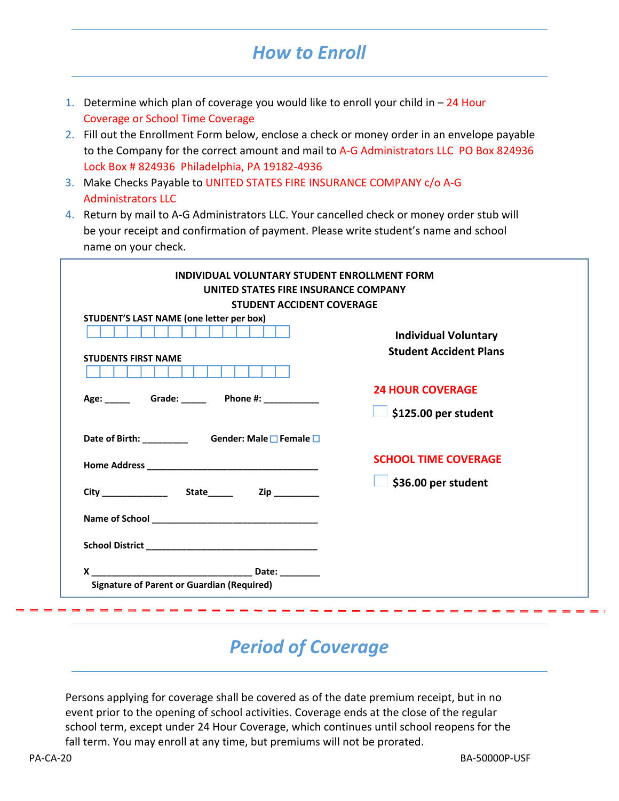## *How to Enroll*

- 1. Determine which plan of coverage you would like to enroll your child in  $-24$  Hour Coverage or School Time Coverage
- 2. Fill out the Enrollment Form below, enclose a check or money order in an envelope payable to the Company for the correct amount and mail to A-G Administrators LLC PO Box 824936 Lock Box # 824936 Philadelphia, PA 19182-4936
- 3. Make Checks Payable to UNITED STATES FIRE INSURANCE COMPANY c/o A‐G Administrators LLC
- 4. Return by mail to A‐G Administrators LLC. Your cancelled check or money order stub will be your receipt and confirmation of payment. Please write student's name and school name on your check.

| <b>STUDENT ACCIDENT COVERAGE</b>                                                                          |                               |
|-----------------------------------------------------------------------------------------------------------|-------------------------------|
| STUDENT'S LAST NAME (one letter per box)                                                                  |                               |
|                                                                                                           | <b>Individual Voluntary</b>   |
| <b>STUDENTS FIRST NAME</b>                                                                                | <b>Student Accident Plans</b> |
|                                                                                                           |                               |
|                                                                                                           | <b>24 HOUR COVERAGE</b>       |
|                                                                                                           | \$125.00 per student          |
| Date of Birth: ____________________Gender: Male □ Female □                                                |                               |
|                                                                                                           | <b>SCHOOL TIME COVERAGE</b>   |
|                                                                                                           | \$36.00 per student           |
|                                                                                                           |                               |
| School District Party and Party and Party and Party and Party and Party and Party and Party and Party and |                               |
|                                                                                                           |                               |

## *Period of Coverage*

Persons applying for coverage shall be covered as of the date premium receipt, but in no event prior to the opening of school activities. Coverage ends at the close of the regular school term, except under 24 Hour Coverage, which continues until school reopens for the fall term. You may enroll at any time, but premiums will not be prorated.